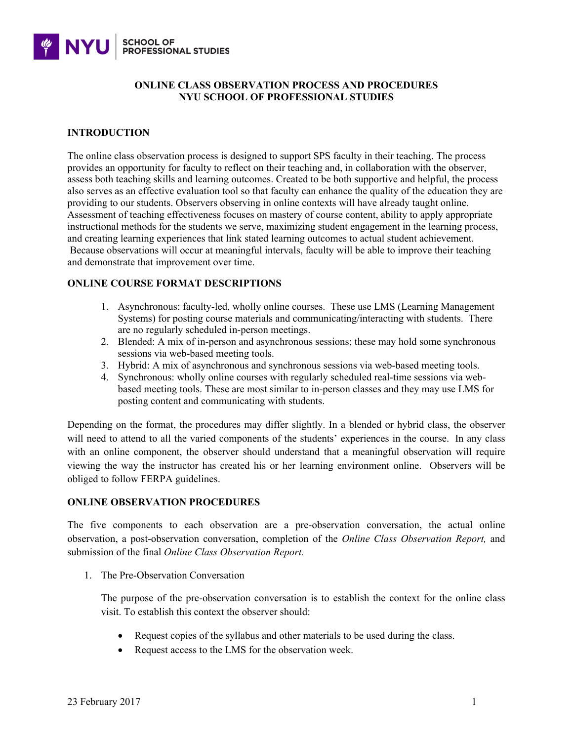

### **ONLINE CLASS OBSERVATION PROCESS AND PROCEDURES NYU SCHOOL OF PROFESSIONAL STUDIES**

### **INTRODUCTION**

The online class observation process is designed to support SPS faculty in their teaching. The process provides an opportunity for faculty to reflect on their teaching and, in collaboration with the observer, assess both teaching skills and learning outcomes. Created to be both supportive and helpful, the process also serves as an effective evaluation tool so that faculty can enhance the quality of the education they are providing to our students. Observers observing in online contexts will have already taught online. Assessment of teaching effectiveness focuses on mastery of course content, ability to apply appropriate instructional methods for the students we serve, maximizing student engagement in the learning process, and creating learning experiences that link stated learning outcomes to actual student achievement. Because observations will occur at meaningful intervals, faculty will be able to improve their teaching and demonstrate that improvement over time.

## **ONLINE COURSE FORMAT DESCRIPTIONS**

- 1. Asynchronous: faculty-led, wholly online courses. These use LMS (Learning Management Systems) for posting course materials and communicating/interacting with students. There are no regularly scheduled in-person meetings.
- 2. Blended: A mix of in-person and asynchronous sessions; these may hold some synchronous sessions via web-based meeting tools.
- 3. Hybrid: A mix of asynchronous and synchronous sessions via web-based meeting tools.
- 4. Synchronous: wholly online courses with regularly scheduled real-time sessions via webbased meeting tools. These are most similar to in-person classes and they may use LMS for posting content and communicating with students.

Depending on the format, the procedures may differ slightly. In a blended or hybrid class, the observer will need to attend to all the varied components of the students' experiences in the course. In any class with an online component, the observer should understand that a meaningful observation will require viewing the way the instructor has created his or her learning environment online. Observers will be obliged to follow FERPA guidelines.

## **ONLINE OBSERVATION PROCEDURES**

The five components to each observation are a pre-observation conversation, the actual online observation, a post-observation conversation, completion of the *Online Class Observation Report,* and submission of the final *Online Class Observation Report.*

1. The Pre-Observation Conversation

The purpose of the pre-observation conversation is to establish the context for the online class visit. To establish this context the observer should:

- Request copies of the syllabus and other materials to be used during the class.
- Request access to the LMS for the observation week.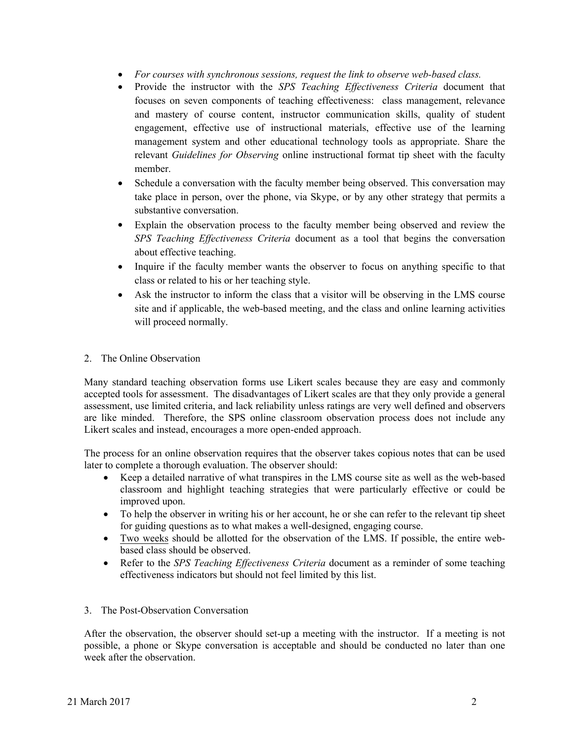- *For courses with synchronous sessions, request the link to observe web-based class.*
- Provide the instructor with the *SPS Teaching Effectiveness Criteria* document that focuses on seven components of teaching effectiveness: class management, relevance and mastery of course content, instructor communication skills, quality of student engagement, effective use of instructional materials, effective use of the learning management system and other educational technology tools as appropriate. Share the relevant *Guidelines for Observing* online instructional format tip sheet with the faculty member.
- Schedule a conversation with the faculty member being observed. This conversation may take place in person, over the phone, via Skype, or by any other strategy that permits a substantive conversation.
- Explain the observation process to the faculty member being observed and review the *SPS Teaching Effectiveness Criteria* document as a tool that begins the conversation about effective teaching.
- Inquire if the faculty member wants the observer to focus on anything specific to that class or related to his or her teaching style.
- Ask the instructor to inform the class that a visitor will be observing in the LMS course site and if applicable, the web-based meeting, and the class and online learning activities will proceed normally.
- 2. The Online Observation

Many standard teaching observation forms use Likert scales because they are easy and commonly accepted tools for assessment. The disadvantages of Likert scales are that they only provide a general assessment, use limited criteria, and lack reliability unless ratings are very well defined and observers are like minded. Therefore, the SPS online classroom observation process does not include any Likert scales and instead, encourages a more open-ended approach.

The process for an online observation requires that the observer takes copious notes that can be used later to complete a thorough evaluation. The observer should:

- Keep a detailed narrative of what transpires in the LMS course site as well as the web-based classroom and highlight teaching strategies that were particularly effective or could be improved upon.
- To help the observer in writing his or her account, he or she can refer to the relevant tip sheet for guiding questions as to what makes a well-designed, engaging course.
- Two weeks should be allotted for the observation of the LMS. If possible, the entire webbased class should be observed.
- Refer to the *SPS Teaching Effectiveness Criteria* document as a reminder of some teaching effectiveness indicators but should not feel limited by this list.
- 3. The Post-Observation Conversation

After the observation, the observer should set-up a meeting with the instructor. If a meeting is not possible, a phone or Skype conversation is acceptable and should be conducted no later than one week after the observation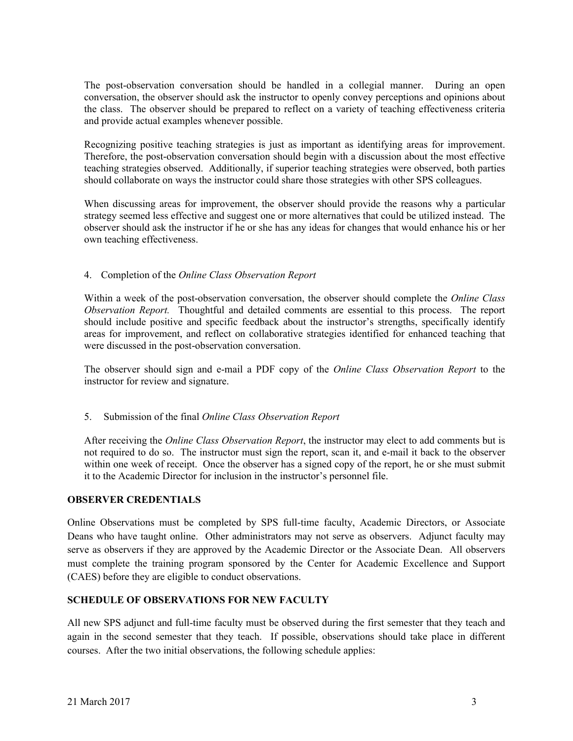The post-observation conversation should be handled in a collegial manner. During an open conversation, the observer should ask the instructor to openly convey perceptions and opinions about the class. The observer should be prepared to reflect on a variety of teaching effectiveness criteria and provide actual examples whenever possible.

Recognizing positive teaching strategies is just as important as identifying areas for improvement. Therefore, the post-observation conversation should begin with a discussion about the most effective teaching strategies observed. Additionally, if superior teaching strategies were observed, both parties should collaborate on ways the instructor could share those strategies with other SPS colleagues.

When discussing areas for improvement, the observer should provide the reasons why a particular strategy seemed less effective and suggest one or more alternatives that could be utilized instead. The observer should ask the instructor if he or she has any ideas for changes that would enhance his or her own teaching effectiveness.

## 4. Completion of the *Online Class Observation Report*

Within a week of the post-observation conversation, the observer should complete the *Online Class Observation Report.* Thoughtful and detailed comments are essential to this process. The report should include positive and specific feedback about the instructor's strengths, specifically identify areas for improvement, and reflect on collaborative strategies identified for enhanced teaching that were discussed in the post-observation conversation.

The observer should sign and e-mail a PDF copy of the *Online Class Observation Report* to the instructor for review and signature.

## 5. Submission of the final *Online Class Observation Report*

After receiving the *Online Class Observation Report*, the instructor may elect to add comments but is not required to do so. The instructor must sign the report, scan it, and e-mail it back to the observer within one week of receipt. Once the observer has a signed copy of the report, he or she must submit it to the Academic Director for inclusion in the instructor's personnel file.

## **OBSERVER CREDENTIALS**

Online Observations must be completed by SPS full-time faculty, Academic Directors, or Associate Deans who have taught online. Other administrators may not serve as observers. Adjunct faculty may serve as observers if they are approved by the Academic Director or the Associate Dean. All observers must complete the training program sponsored by the Center for Academic Excellence and Support (CAES) before they are eligible to conduct observations.

## **SCHEDULE OF OBSERVATIONS FOR NEW FACULTY**

All new SPS adjunct and full-time faculty must be observed during the first semester that they teach and again in the second semester that they teach. If possible, observations should take place in different courses. After the two initial observations, the following schedule applies: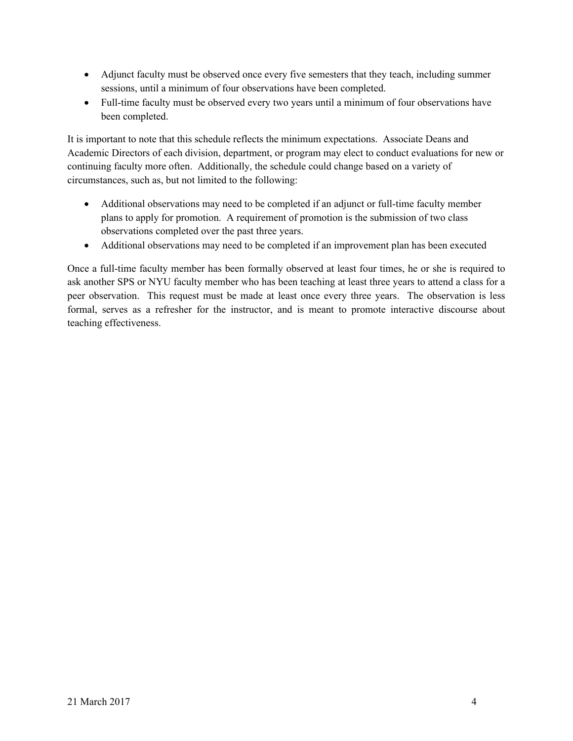- Adjunct faculty must be observed once every five semesters that they teach, including summer sessions, until a minimum of four observations have been completed.
- Full-time faculty must be observed every two years until a minimum of four observations have been completed.

It is important to note that this schedule reflects the minimum expectations. Associate Deans and Academic Directors of each division, department, or program may elect to conduct evaluations for new or continuing faculty more often. Additionally, the schedule could change based on a variety of circumstances, such as, but not limited to the following:

- Additional observations may need to be completed if an adjunct or full-time faculty member plans to apply for promotion. A requirement of promotion is the submission of two class observations completed over the past three years.
- Additional observations may need to be completed if an improvement plan has been executed

Once a full-time faculty member has been formally observed at least four times, he or she is required to ask another SPS or NYU faculty member who has been teaching at least three years to attend a class for a peer observation. This request must be made at least once every three years. The observation is less formal, serves as a refresher for the instructor, and is meant to promote interactive discourse about teaching effectiveness.